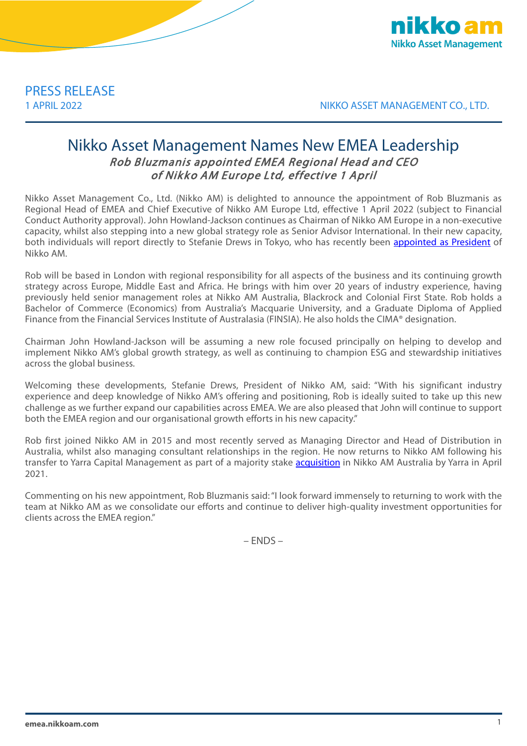

1 APRIL 2022 NIKKO ASSET MANAGEMENT CO., LTD.

## Nikko Asset Management Names New EMEA Leadership Rob Bluzmanis appointed EMEA Regional Head and CEO of Nikko AM Europe Ltd, effective 1 April

Nikko Asset Management Co., Ltd. (Nikko AM) is delighted to announce the appointment of Rob Bluzmanis as Regional Head of EMEA and Chief Executive of Nikko AM Europe Ltd, effective 1 April 2022 (subject to Financial Conduct Authority approval). John Howland-Jackson continues as Chairman of Nikko AM Europe in a non-executive capacity, whilst also stepping into a new global strategy role as Senior Advisor International. In their new capacity, both individuals will report directly to Stefanie Drews in Tokyo, who has recently been [appointed as President](https://emea.nikkoam.com/files/english_press_releases/2022/220128_01.pdf) of Nikko AM.

Rob will be based in London with regional responsibility for all aspects of the business and its continuing growth strategy across Europe, Middle East and Africa. He brings with him over 20 years of industry experience, having previously held senior management roles at Nikko AM Australia, Blackrock and Colonial First State. Rob holds a Bachelor of Commerce (Economics) from Australia's Macquarie University, and a Graduate Diploma of Applied Finance from the Financial Services Institute of Australasia (FINSIA). He also holds the CIMA® designation.

Chairman John Howland-Jackson will be assuming a new role focused principally on helping to develop and implement Nikko AM's global growth strategy, as well as continuing to champion ESG and stewardship initiatives across the global business.

Welcoming these developments, Stefanie Drews, President of Nikko AM, said: "With his significant industry experience and deep knowledge of Nikko AM's offering and positioning, Rob is ideally suited to take up this new challenge as we further expand our capabilities across EMEA. We are also pleased that John will continue to support both the EMEA region and our organisational growth efforts in his new capacity."

Rob first joined Nikko AM in 2015 and most recently served as Managing Director and Head of Distribution in Australia, whilst also managing consultant relationships in the region. He now returns to Nikko AM following his transfer to Yarra Capital Management as part of a majority stake [acquisition](https://emea.nikkoam.com/files/english_press_releases/2021/210302_01.pdf) in Nikko AM Australia by Yarra in April 2021.

Commenting on his new appointment, Rob Bluzmanis said: "I look forward immensely to returning to work with the team at Nikko AM as we consolidate our efforts and continue to deliver high-quality investment opportunities for clients across the EMEA region."

– ENDS –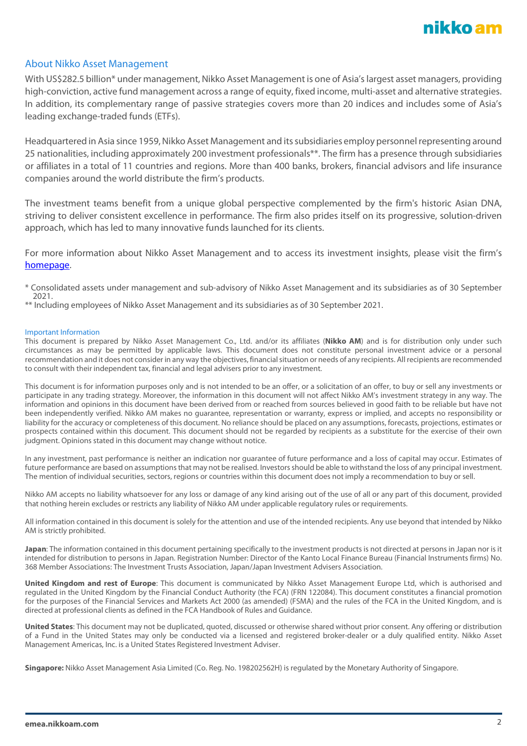

## About Nikko Asset Management

With US\$282.5 billion\* under management, Nikko Asset Management is one of Asia's largest asset managers, providing high-conviction, active fund management across a range of equity, fixed income, multi-asset and alternative strategies. In addition, its complementary range of passive strategies covers more than 20 indices and includes some of Asia's leading exchange-traded funds (ETFs).

Headquartered in Asia since 1959, Nikko Asset Management and its subsidiaries employ personnel representing around 25 nationalities, including approximately 200 investment professionals\*\*. The firm has a presence through subsidiaries or affiliates in a total of 11 countries and regions. More than 400 banks, brokers, financial advisors and life insurance companies around the world distribute the firm's products.

The investment teams benefit from a unique global perspective complemented by the firm's historic Asian DNA, striving to deliver consistent excellence in performance. The firm also prides itself on its progressive, solution-driven approach, which has led to many innovative funds launched for its clients.

For more information about Nikko Asset Management and to access its investment insights, please visit the firm's [homepage.](https://emea.nikkoam.com/)

\* Consolidated assets under management and sub-advisory of Nikko Asset Management and its subsidiaries as of 30 September 2021.

\*\* Including employees of Nikko Asset Management and its subsidiaries as of 30 September 2021.

## Important Information

This document is prepared by Nikko Asset Management Co., Ltd. and/or its affiliates (**Nikko AM**) and is for distribution only under such circumstances as may be permitted by applicable laws. This document does not constitute personal investment advice or a personal recommendation and it does not consider in any way the objectives, financial situation or needs of any recipients. All recipients are recommended to consult with their independent tax, financial and legal advisers prior to any investment.

This document is for information purposes only and is not intended to be an offer, or a solicitation of an offer, to buy or sell any investments or participate in any trading strategy. Moreover, the information in this document will not affect Nikko AM's investment strategy in any way. The information and opinions in this document have been derived from or reached from sources believed in good faith to be reliable but have not been independently verified. Nikko AM makes no guarantee, representation or warranty, express or implied, and accepts no responsibility or liability for the accuracy or completeness of this document. No reliance should be placed on any assumptions, forecasts, projections, estimates or prospects contained within this document. This document should not be regarded by recipients as a substitute for the exercise of their own judgment. Opinions stated in this document may change without notice.

In any investment, past performance is neither an indication nor guarantee of future performance and a loss of capital may occur. Estimates of future performance are based on assumptions that may not be realised. Investors should be able to withstand the loss of any principal investment. The mention of individual securities, sectors, regions or countries within this document does not imply a recommendation to buy or sell.

Nikko AM accepts no liability whatsoever for any loss or damage of any kind arising out of the use of all or any part of this document, provided that nothing herein excludes or restricts any liability of Nikko AM under applicable regulatory rules or requirements.

All information contained in this document is solely for the attention and use of the intended recipients. Any use beyond that intended by Nikko AM is strictly prohibited.

**Japan**: The information contained in this document pertaining specifically to the investment products is not directed at persons in Japan nor is it intended for distribution to persons in Japan. Registration Number: Director of the Kanto Local Finance Bureau (Financial Instruments firms) No. 368 Member Associations: The Investment Trusts Association, Japan/Japan Investment Advisers Association.

**United Kingdom and rest of Europe**: This document is communicated by Nikko Asset Management Europe Ltd, which is authorised and regulated in the United Kingdom by the Financial Conduct Authority (the FCA) (FRN 122084). This document constitutes a financial promotion for the purposes of the Financial Services and Markets Act 2000 (as amended) (FSMA) and the rules of the FCA in the United Kingdom, and is directed at professional clients as defined in the FCA Handbook of Rules and Guidance.

**United States**: This document may not be duplicated, quoted, discussed or otherwise shared without prior consent. Any offering or distribution of a Fund in the United States may only be conducted via a licensed and registered broker-dealer or a duly qualified entity. Nikko Asset Management Americas, Inc. is a United States Registered Investment Adviser.

**Singapore:** Nikko Asset Management Asia Limited (Co. Reg. No. 198202562H) is regulated by the Monetary Authority of Singapore.